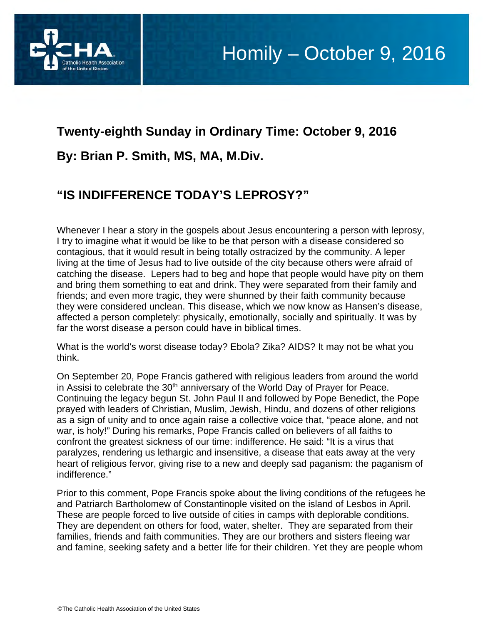

## **Twenty-eighth Sunday in Ordinary Time: October 9, 2016 By: Brian P. Smith, MS, MA, M.Div.**

## **"IS INDIFFERENCE TODAY'S LEPROSY?"**

Whenever I hear a story in the gospels about Jesus encountering a person with leprosy, I try to imagine what it would be like to be that person with a disease considered so contagious, that it would result in being totally ostracized by the community. A leper living at the time of Jesus had to live outside of the city because others were afraid of catching the disease. Lepers had to beg and hope that people would have pity on them and bring them something to eat and drink. They were separated from their family and friends; and even more tragic, they were shunned by their faith community because they were considered unclean. This disease, which we now know as Hansen's disease, affected a person completely: physically, emotionally, socially and spiritually. It was by far the worst disease a person could have in biblical times.

What is the world's worst disease today? Ebola? Zika? AIDS? It may not be what you think.

On September 20, Pope Francis gathered with religious leaders from around the world in Assisi to celebrate the 30<sup>th</sup> anniversary of the World Day of Prayer for Peace. Continuing the legacy begun St. John Paul II and followed by Pope Benedict, the Pope prayed with leaders of Christian, Muslim, Jewish, Hindu, and dozens of other religions as a sign of unity and to once again raise a collective voice that, "peace alone, and not war, is holy!" During his remarks, Pope Francis called on believers of all faiths to confront the greatest sickness of our time: indifference. He said: "It is a virus that paralyzes, rendering us lethargic and insensitive, a disease that eats away at the very heart of religious fervor, giving rise to a new and deeply sad paganism: the paganism of indifference."

Prior to this comment, Pope Francis spoke about the living conditions of the refugees he and Patriarch Bartholomew of Constantinople visited on the island of Lesbos in April. These are people forced to live outside of cities in camps with deplorable conditions. They are dependent on others for food, water, shelter. They are separated from their families, friends and faith communities. They are our brothers and sisters fleeing war and famine, seeking safety and a better life for their children. Yet they are people whom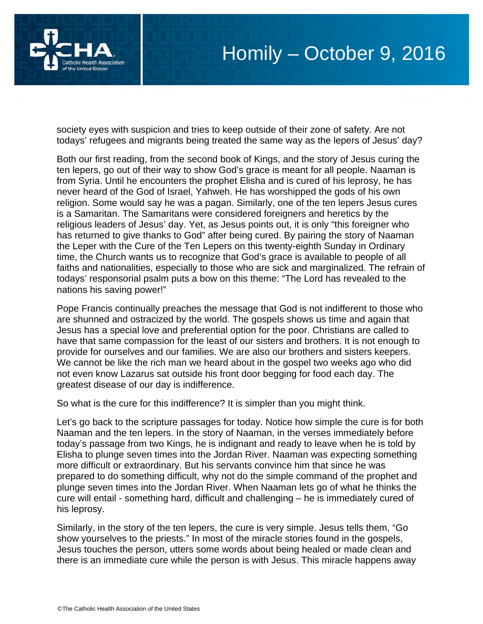

society eyes with suspicion and tries to keep outside of their zone of safety. Are not todays' refugees and migrants being treated the same way as the lepers of Jesus' day?

Both our first reading, from the second book of Kings, and the story of Jesus curing the ten lepers, go out of their way to show God's grace is meant for all people. Naaman is from Syria. Until he encounters the prophet Elisha and is cured of his leprosy, he has never heard of the God of Israel, Yahweh. He has worshipped the gods of his own religion. Some would say he was a pagan. Similarly, one of the ten lepers Jesus cures is a Samaritan. The Samaritans were considered foreigners and heretics by the religious leaders of Jesus' day. Yet, as Jesus points out, it is only "this foreigner who has returned to give thanks to God" after being cured. By pairing the story of Naaman the Leper with the Cure of the Ten Lepers on this twenty-eighth Sunday in Ordinary time, the Church wants us to recognize that God's grace is available to people of all faiths and nationalities, especially to those who are sick and marginalized. The refrain of todays' responsorial psalm puts a bow on this theme: "The Lord has revealed to the nations his saving power!"

Pope Francis continually preaches the message that God is not indifferent to those who are shunned and ostracized by the world. The gospels shows us time and again that Jesus has a special love and preferential option for the poor. Christians are called to have that same compassion for the least of our sisters and brothers. It is not enough to provide for ourselves and our families. We are also our brothers and sisters keepers. We cannot be like the rich man we heard about in the gospel two weeks ago who did not even know Lazarus sat outside his front door begging for food each day. The greatest disease of our day is indifference.

So what is the cure for this indifference? It is simpler than you might think.

Let's go back to the scripture passages for today. Notice how simple the cure is for both Naaman and the ten lepers. In the story of Naaman, in the verses immediately before today's passage from two Kings, he is indignant and ready to leave when he is told by Elisha to plunge seven times into the Jordan River. Naaman was expecting something more difficult or extraordinary. But his servants convince him that since he was prepared to do something difficult, why not do the simple command of the prophet and plunge seven times into the Jordan River. When Naaman lets go of what he thinks the cure will entail - something hard, difficult and challenging – he is immediately cured of his leprosy.

Similarly, in the story of the ten lepers, the cure is very simple. Jesus tells them, "Go show yourselves to the priests." In most of the miracle stories found in the gospels, Jesus touches the person, utters some words about being healed or made clean and there is an immediate cure while the person is with Jesus. This miracle happens away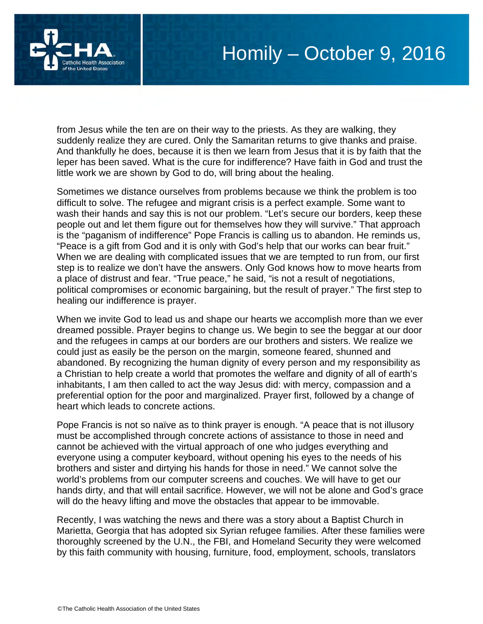



from Jesus while the ten are on their way to the priests. As they are walking, they suddenly realize they are cured. Only the Samaritan returns to give thanks and praise. And thankfully he does, because it is then we learn from Jesus that it is by faith that the leper has been saved. What is the cure for indifference? Have faith in God and trust the little work we are shown by God to do, will bring about the healing.

Sometimes we distance ourselves from problems because we think the problem is too difficult to solve. The refugee and migrant crisis is a perfect example. Some want to wash their hands and say this is not our problem. "Let's secure our borders, keep these people out and let them figure out for themselves how they will survive." That approach is the "paganism of indifference" Pope Francis is calling us to abandon. He reminds us, "Peace is a gift from God and it is only with God's help that our works can bear fruit." When we are dealing with complicated issues that we are tempted to run from, our first step is to realize we don't have the answers. Only God knows how to move hearts from a place of distrust and fear. "True peace," he said, "is not a result of negotiations, political compromises or economic bargaining, but the result of prayer." The first step to healing our indifference is prayer.

When we invite God to lead us and shape our hearts we accomplish more than we ever dreamed possible. Prayer begins to change us. We begin to see the beggar at our door and the refugees in camps at our borders are our brothers and sisters. We realize we could just as easily be the person on the margin, someone feared, shunned and abandoned. By recognizing the human dignity of every person and my responsibility as a Christian to help create a world that promotes the welfare and dignity of all of earth's inhabitants, I am then called to act the way Jesus did: with mercy, compassion and a preferential option for the poor and marginalized. Prayer first, followed by a change of heart which leads to concrete actions.

Pope Francis is not so naïve as to think prayer is enough. "A peace that is not illusory must be accomplished through concrete actions of assistance to those in need and cannot be achieved with the virtual approach of one who judges everything and everyone using a computer keyboard, without opening his eyes to the needs of his brothers and sister and dirtying his hands for those in need." We cannot solve the world's problems from our computer screens and couches. We will have to get our hands dirty, and that will entail sacrifice. However, we will not be alone and God's grace will do the heavy lifting and move the obstacles that appear to be immovable.

Recently, I was watching the news and there was a story about a Baptist Church in Marietta, Georgia that has adopted six Syrian refugee families. After these families were thoroughly screened by the U.N., the FBI, and Homeland Security they were welcomed by this faith community with housing, furniture, food, employment, schools, translators